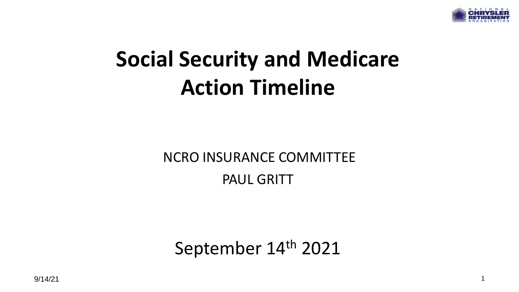

# **Social Security and Medicare Action Timeline**

NCRO INSURANCE COMMITTEE PAUL GRITT

September 14th 2021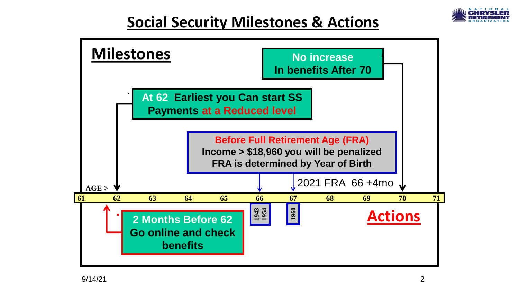

## **Social Security Milestones & Actions**

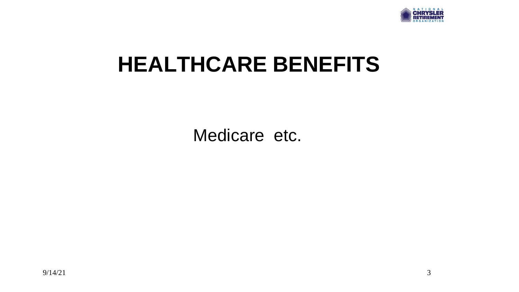

# **HEALTHCARE BENEFITS**

Medicare etc.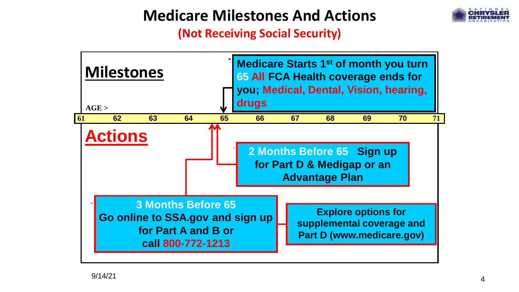## **Medicare Milestones And Actions**



**(Not Receiving Social Security)**

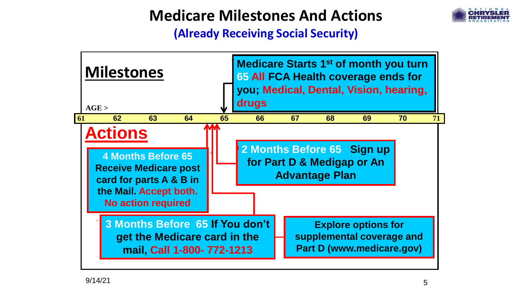## **Medicare Milestones And Actions**



**(Already Receiving Social Security)**

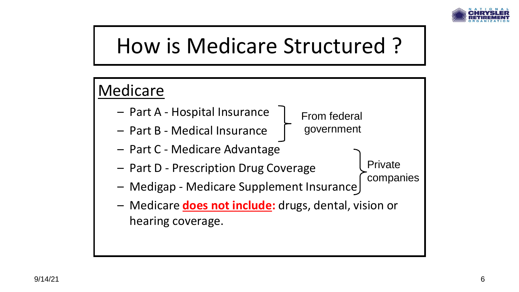

# How is Medicare Structured ?

### Medicare – Part A - Hospital Insurance – Part B - Medical Insurance – Part C - Medicare Advantage – Part D - Prescription Drug Coverage – Medigap - Medicare Supplement Insurance – Medicare **does not include:** drugs, dental, vision or hearing coverage. From federal government Private companies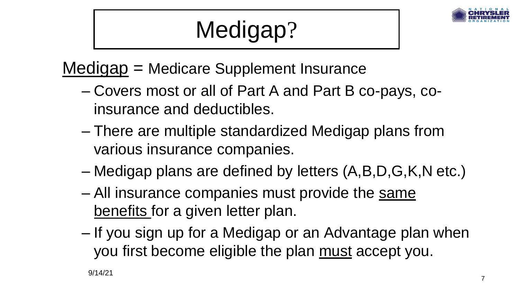

# Medigap?

Medigap = Medicare Supplement Insurance

- Covers most or all of Part A and Part B co-pays, coinsurance and deductibles.
- There are multiple standardized Medigap plans from various insurance companies.
- Medigap plans are defined by letters (A,B,D,G,K,N etc.)
- All insurance companies must provide the same benefits for a given letter plan.
- If you sign up for a Medigap or an Advantage plan when you first become eligible the plan must accept you.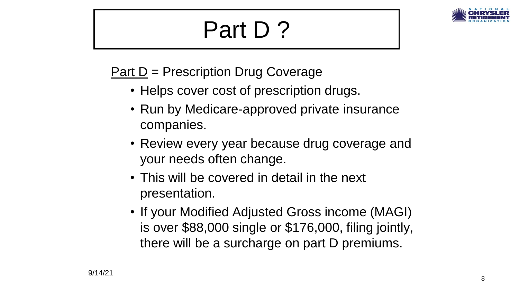# Part D ?



### Part D = Prescription Drug Coverage

- Helps cover cost of prescription drugs.
- Run by Medicare-approved private insurance companies.
- Review every year because drug coverage and your needs often change.
- This will be covered in detail in the next presentation.
- If your Modified Adjusted Gross income (MAGI) is over \$88,000 single or \$176,000, filing jointly, there will be a surcharge on part D premiums.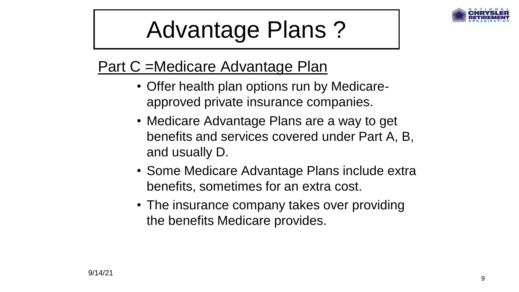

# Advantage Plans ?

## Part C =Medicare Advantage Plan

- Offer health plan options run by Medicareapproved private insurance companies.
- Medicare Advantage Plans are a way to get benefits and services covered under Part A, B, and usually D.
- Some Medicare Advantage Plans include extra benefits, sometimes for an extra cost.
- The insurance company takes over providing the benefits Medicare provides.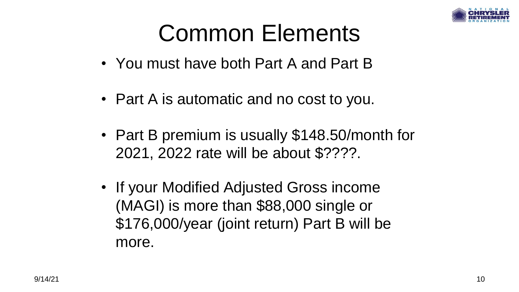

# Common Elements

- You must have both Part A and Part B
- Part A is automatic and no cost to you.
- Part B premium is usually \$148.50/month for 2021, 2022 rate will be about \$????.
- If your Modified Adjusted Gross income (MAGI) is more than \$88,000 single or \$176,000/year (joint return) Part B will be more.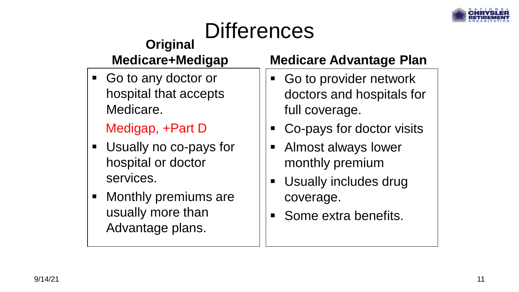

#### **Differences Original Medicare+Medigap** ■ Go to any doctor or hospital that accepts Medicare. Medigap, +Part D ■ Usually no co-pays for hospital or doctor services. ■ Monthly premiums are **Medicare Advantage Plan** ■ Go to provider network doctors and hospitals for full coverage. ■ Co-pays for doctor visits ■ Almost always lower monthly premium **■ Usually includes drug** coverage.

usually more than

Advantage plans.

Some extra benefits.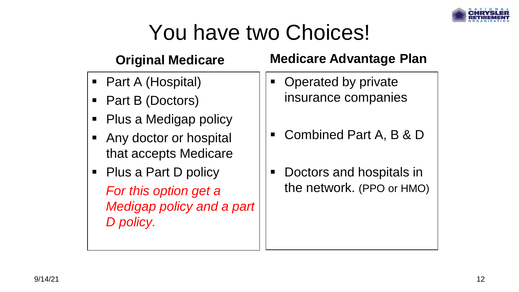

# You have two Choices!

### **Original Medicare**

- Part A (Hospital)
- Part B (Doctors)
- Plus a Medigap policy
- Any doctor or hospital that accepts Medicare
- Plus a Part D policy *For this option get a Medigap policy and a part D policy.*

### **Medicare Advantage Plan**

- Operated by private insurance companies
- Combined Part A, B & D
- Doctors and hospitals in the network. (PPO or HMO)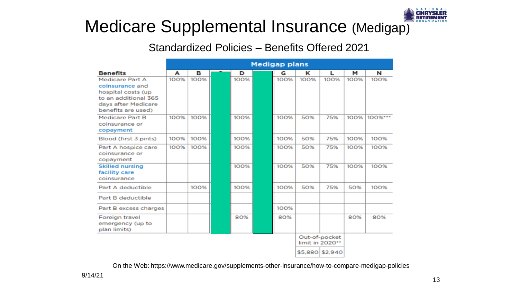

## Medicare Supplemental Insurance (Medigap)

#### Standardized Policies – Benefits Offered 2021

|                                           | <b>Medigap plans</b> |      |  |      |  |      |                 |                 |      |         |
|-------------------------------------------|----------------------|------|--|------|--|------|-----------------|-----------------|------|---------|
| <b>Benefits</b>                           | А                    | в    |  | D    |  | G    | ĸ               | L               | м    | N       |
| Medicare Part A                           | 100%                 | 100% |  | 100% |  | 100% | 100%            | 100%            | 100% | 100%    |
| coinsurance and                           |                      |      |  |      |  |      |                 |                 |      |         |
| hospital costs (up                        |                      |      |  |      |  |      |                 |                 |      |         |
| to an additional 365                      |                      |      |  |      |  |      |                 |                 |      |         |
| days after Medicare<br>benefits are used) |                      |      |  |      |  |      |                 |                 |      |         |
| <b>Medicare Part B</b>                    | 100%                 | 100% |  | 100% |  | 100% | 50%             | 75%             | 100% | 100%*** |
| coinsurance or                            |                      |      |  |      |  |      |                 |                 |      |         |
| copayment                                 |                      |      |  |      |  |      |                 |                 |      |         |
| Blood (first 3 pints)                     | 100%                 | 100% |  | 100% |  | 100% | 50%             | 75%             | 100% | 100%    |
| Part A hospice care                       | 100%                 | 100% |  | 100% |  | 100% | 50%             | 75%             | 100% | 100%    |
| coinsurance or                            |                      |      |  |      |  |      |                 |                 |      |         |
| copayment                                 |                      |      |  |      |  |      |                 |                 |      |         |
| <b>Skilled nursing</b>                    |                      |      |  | 100% |  | 100% | 50%             | 75%             | 100% | 100%    |
| facility care                             |                      |      |  |      |  |      |                 |                 |      |         |
| coinsurance                               |                      |      |  |      |  |      |                 |                 |      |         |
| Part A deductible                         |                      | 100% |  | 100% |  | 100% | 50%             | 75%             | 50%  | 100%    |
| Part B deductible                         |                      |      |  |      |  |      |                 |                 |      |         |
| Part B excess charges                     |                      |      |  |      |  | 100% |                 |                 |      |         |
| Foreign travel                            |                      |      |  | 80%  |  | 80%  |                 |                 | 80%  | 80%     |
| emergency (up to                          |                      |      |  |      |  |      |                 |                 |      |         |
| plan limits)                              |                      |      |  |      |  |      |                 |                 |      |         |
|                                           |                      |      |  |      |  |      |                 | Out-of-pocket   |      |         |
|                                           |                      |      |  |      |  |      | limit in 2020** |                 |      |         |
|                                           |                      |      |  |      |  |      |                 | \$5,880 \$2,940 |      |         |

On the Web: https://www.medicare.gov/supplements-other-insurance/how-to-compare-medigap-policies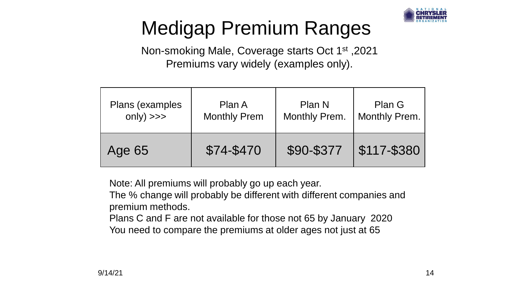

# Medigap Premium Ranges

Non-smoking Male, Coverage starts Oct 1st ,2021 Premiums vary widely (examples only).

| Plans (examples | Plan A              | Plan N        | Plan G               |  |
|-----------------|---------------------|---------------|----------------------|--|
| $only$ $\gg$    | <b>Monthly Prem</b> | Monthly Prem. | <b>Monthly Prem.</b> |  |
| Age 65          | \$74-\$470          | \$90-\$377    | \$117-\$380          |  |

Note: All premiums will probably go up each year.

The % change will probably be different with different companies and premium methods.

Plans C and F are not available for those not 65 by January 2020

You need to compare the premiums at older ages not just at 65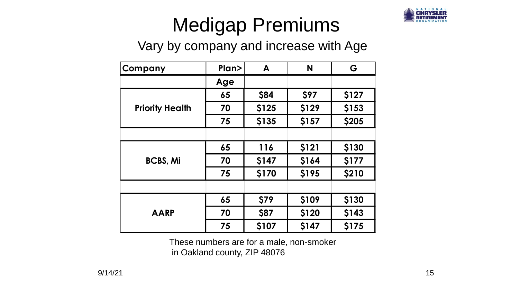

# Medigap Premiums

### Vary by company and increase with Age

| Company                                                                  | Plan> | A     | N     | G     |  |  |
|--------------------------------------------------------------------------|-------|-------|-------|-------|--|--|
|                                                                          | Age   |       |       |       |  |  |
| <b>Priority Health</b>                                                   | 65    | \$84  | \$97  | \$127 |  |  |
|                                                                          | 70    | \$125 | \$129 | \$153 |  |  |
|                                                                          | 75    | \$135 | \$157 | \$205 |  |  |
|                                                                          |       |       |       |       |  |  |
| <b>BCBS, Mi</b>                                                          | 65    | 116   | \$121 | \$130 |  |  |
|                                                                          | 70    | \$147 | \$164 | \$177 |  |  |
|                                                                          | 75    | \$170 | \$195 | \$210 |  |  |
|                                                                          |       |       |       |       |  |  |
|                                                                          | 65    | \$79  | \$109 | \$130 |  |  |
| <b>AARP</b>                                                              | 70    | \$87  | \$120 | \$143 |  |  |
|                                                                          | 75    | \$107 | \$147 | \$175 |  |  |
| These numbers are for a male, non-smoker<br>in Oakland county, ZIP 48076 |       |       |       |       |  |  |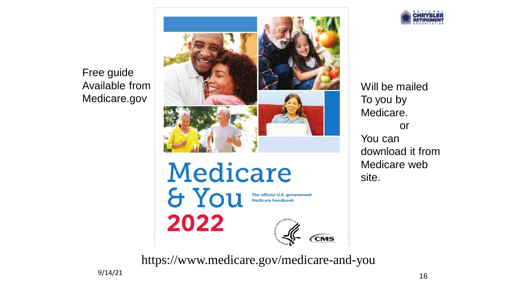Free guide Available from Medicare.gov





Will be mailed To you by Medicare. or You can download it from Medicare web site.

https://www.medicare.gov/medicare-and-you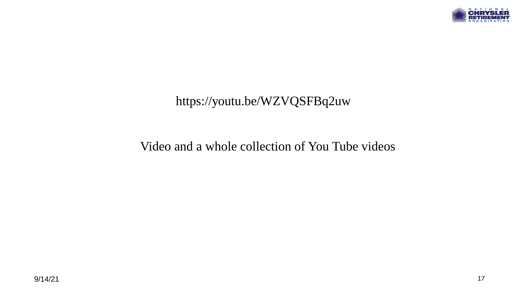

### https://youtu.be/WZVQSFBq2uw

### Video and a whole collection of You Tube videos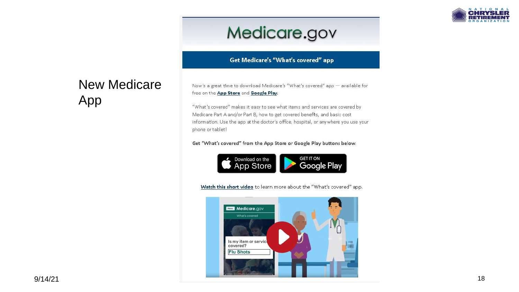

## Medicare.gov

#### **Get Medicare's "What's covered" app**

### New Medicare App

Now's a great time to download Medicare's "What's covered" app - available for free on the App Store and Google Play.

"What's covered" makes it easy to see what items and services are covered by Medicare Part A and/or Part B, how to get covered benefits, and basic cost information. Use the app at the doctor's office, hospital, or anywhere you use your phone or tablet!

#### Get "What's covered" from the App Store or Google Play buttons below.



Watch this short video to learn more about the "What's covered" app.

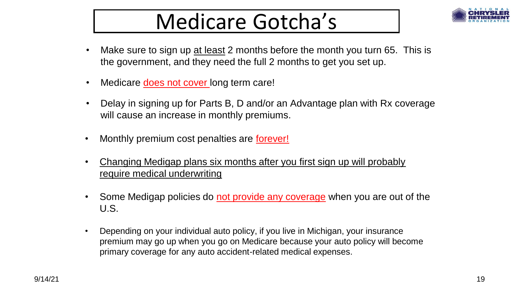# Medicare Gotcha's



- Make sure to sign up at least 2 months before the month you turn 65. This is the government, and they need the full 2 months to get you set up.
- Medicare **does not cover** long term care!
- Delay in signing up for Parts B, D and/or an Advantage plan with Rx coverage will cause an increase in monthly premiums.
- Monthly premium cost penalties are forever!
- Changing Medigap plans six months after you first sign up will probably require medical underwriting
- Some Medigap policies do not provide any coverage when you are out of the U.S.
- Depending on your individual auto policy, if you live in Michigan, your insurance premium may go up when you go on Medicare because your auto policy will become primary coverage for any auto accident-related medical expenses.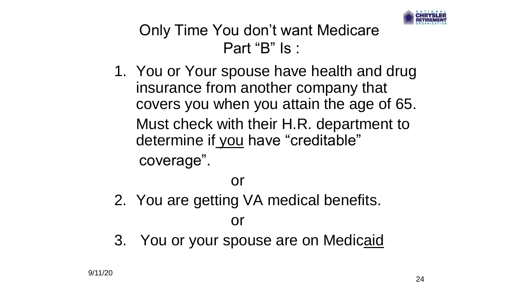

## Only Time You don't want Medicare Part "B" Is :

1. You or Your spouse have health and drug insurance from another company that covers you when you attain the age of 65. Must check with their H.R. department to determine if you have "creditable" coverage".

### or

2. You are getting VA medical benefits.

### or

3. You or your spouse are on Medicaid